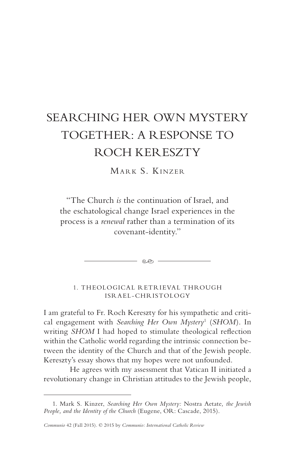# SEARCHING HER OWN MYSTERY TOGETHER: A RESPONSE TO ROCH KERESZTY

MARK S. KINZER

"The Church *is* the continuation of Israel, and the eschatological change Israel experiences in the process is a *renewal* rather than a termination of its covenant-identity."

 $-$  eo  $-$ 

1. THEOLOGICAL RETRIEVAL THROUGH ISRAEL-CHRISTOLOGY

I am grateful to Fr. Roch Kereszty for his sympathetic and critical engagement with *Searching Her Own Mystery*<sup>1</sup> (*SHOM*). In writing *SHOM* I had hoped to stimulate theological reflection within the Catholic world regarding the intrinsic connection between the identity of the Church and that of the Jewish people. Kereszty's essay shows that my hopes were not unfounded.

He agrees with my assessment that Vatican II initiated a revolutionary change in Christian attitudes to the Jewish people,

<sup>1.</sup> Mark S. Kinzer, *Searching Her Own Mystery:* Nostra Aetate*, the Jewish People, and the Identity of the Church* (Eugene, OR: Cascade, 2015).

*Communio* 42 (Fall 2015). © 2015 by *Communio: International Catholic Review*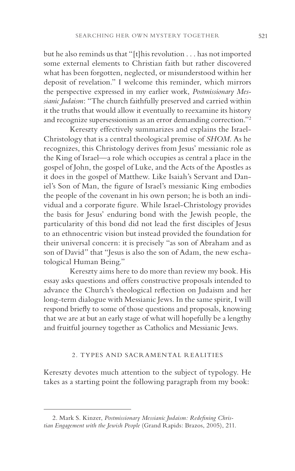but he also reminds us that "[t]his revolution . . . has not imported some external elements to Christian faith but rather discovered what has been forgotten, neglected, or misunderstood within her deposit of revelation." I welcome this reminder, which mirrors the perspective expressed in my earlier work, *Postmissionary Messianic Judaism*: "The church faithfully preserved and carried within it the truths that would allow it eventually to reexamine its history and recognize supersessionism as an error demanding correction."<sup>2</sup>

Kereszty effectively summarizes and explains the Israel-Christology that is a central theological premise of *SHOM*. As he recognizes, this Christology derives from Jesus' messianic role as the King of Israel—a role which occupies as central a place in the gospel of John, the gospel of Luke, and the Acts of the Apostles as it does in the gospel of Matthew. Like Isaiah's Servant and Daniel's Son of Man, the figure of Israel's messianic King embodies the people of the covenant in his own person; he is both an individual and a corporate figure. While Israel-Christology provides the basis for Jesus' enduring bond with the Jewish people, the particularity of this bond did not lead the first disciples of Jesus to an ethnocentric vision but instead provided the foundation for their universal concern: it is precisely "as son of Abraham and as son of David" that "Jesus is also the son of Adam, the new eschatological Human Being."

Kereszty aims here to do more than review my book. His essay asks questions and offers constructive proposals intended to advance the Church's theological reflection on Judaism and her long-term dialogue with Messianic Jews. In the same spirit, I will respond briefly to some of those questions and proposals, knowing that we are at but an early stage of what will hopefully be a lengthy and fruitful journey together as Catholics and Messianic Jews.

## 2. TYPES AND SACRAMENTAL REALITIES

Kereszty devotes much attention to the subject of typology. He takes as a starting point the following paragraph from my book:

<sup>2.</sup> Mark S. Kinzer, *Postmissionary Messianic Judaism: Redefining Christian Engagement with the Jewish People* (Grand Rapids: Brazos, 2005), 211.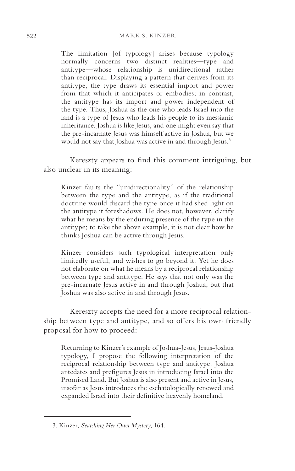The limitation [of typology] arises because typology normally concerns two distinct realities—type and antitype—whose relationship is unidirectional rather than reciprocal. Displaying a pattern that derives from its antitype, the type draws its essential import and power from that which it anticipates or embodies; in contrast, the antitype has its import and power independent of the type. Thus, Joshua as the one who leads Israel into the land is a type of Jesus who leads his people to its messianic inheritance. Joshua is like Jesus, and one might even say that the pre-incarnate Jesus was himself active in Joshua, but we would not say that Joshua was active in and through Jesus.<sup>3</sup>

Kereszty appears to find this comment intriguing, but also unclear in its meaning:

Kinzer faults the "unidirectionality" of the relationship between the type and the antitype, as if the traditional doctrine would discard the type once it had shed light on the antitype it foreshadows. He does not, however, clarify what he means by the enduring presence of the type in the antitype; to take the above example, it is not clear how he thinks Joshua can be active through Jesus.

Kinzer considers such typological interpretation only limitedly useful, and wishes to go beyond it. Yet he does not elaborate on what he means by a reciprocal relationship between type and antitype. He says that not only was the pre-incarnate Jesus active in and through Joshua, but that Joshua was also active in and through Jesus.

Kereszty accepts the need for a more reciprocal relationship between type and antitype, and so offers his own friendly proposal for how to proceed:

Returning to Kinzer's example of Joshua-Jesus, Jesus-Joshua typology, I propose the following interpretation of the reciprocal relationship between type and antitype: Joshua antedates and prefigures Jesus in introducing Israel into the Promised Land. But Joshua is also present and active in Jesus, insofar as Jesus introduces the eschatologically renewed and expanded Israel into their definitive heavenly homeland.

<sup>3.</sup> Kinzer, *Searching Her Own Mystery*, 164.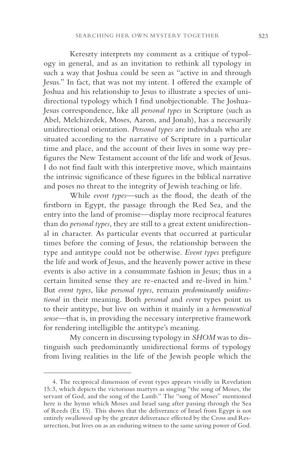Kereszty interprets my comment as a critique of typology in general, and as an invitation to rethink all typology in such a way that Joshua could be seen as "active in and through Jesus." In fact, that was not my intent. I offered the example of Joshua and his relationship to Jesus to illustrate a species of unidirectional typology which I find unobjectionable. The Joshua-Jesus correspondence, like all *personal types* in Scripture (such as Abel, Melchizedek, Moses, Aaron, and Jonah), has a necessarily unidirectional orientation. *Personal types* are individuals who are situated according to the narrative of Scripture in a particular time and place, and the account of their lives in some way prefigures the New Testament account of the life and work of Jesus. I do not find fault with this interpretive move, which maintains the intrinsic significance of these figures in the biblical narrative and poses no threat to the integrity of Jewish teaching or life.

While *event types*—such as the flood, the death of the firstborn in Egypt, the passage through the Red Sea, and the entry into the land of promise—display more reciprocal features than do *personal types*, they are still to a great extent unidirectional in character. As particular events that occurred at particular times before the coming of Jesus, the relationship between the type and antitype could not be otherwise. *Event types* prefigure the life and work of Jesus, and the heavenly power active in these events is also active in a consummate fashion in Jesus; thus in a certain limited sense they are re-enacted and re-lived in him.4 But *event types*, like *personal types*, remain *predominantly unidirectional* in their meaning. Both *personal* and *event* types point us to their antitype, but live on within it mainly in a *hermeneutical sense*—that is, in providing the necessary interpretive framework for rendering intelligible the antitype's meaning.

My concern in discussing typology in *SHOM* was to distinguish such predominantly unidirectional forms of typology from living realities in the life of the Jewish people which the

<sup>4.</sup> The reciprocal dimension of event types appears vividly in Revelation 15:3, which depicts the victorious martyrs as singing "the song of Moses, the servant of God, and the song of the Lamb." The "song of Moses" mentioned here is the hymn which Moses and Israel sang after passing through the Sea of Reeds (Ex 15). This shows that the deliverance of Israel from Egypt is not entirely swallowed up by the greater deliverance effected by the Cross and Resurrection, but lives on as an enduring witness to the same saving power of God.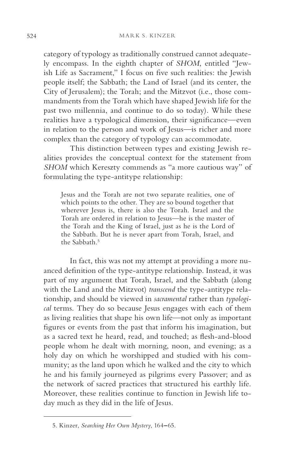category of typology as traditionally construed cannot adequately encompass. In the eighth chapter of *SHOM*, entitled "Jewish Life as Sacrament," I focus on five such realities: the Jewish people itself; the Sabbath; the Land of Israel (and its center, the City of Jerusalem); the Torah; and the Mitzvot (i.e., those commandments from the Torah which have shaped Jewish life for the past two millennia, and continue to do so today). While these realities have a typological dimension, their significance—even in relation to the person and work of Jesus—is richer and more complex than the category of typology can accommodate.

This distinction between types and existing Jewish realities provides the conceptual context for the statement from *SHOM* which Kereszty commends as "a more cautious way" of formulating the type-antitype relationship:

Jesus and the Torah are not two separate realities, one of which points to the other. They are so bound together that wherever Jesus is, there is also the Torah. Israel and the Torah are ordered in relation to Jesus—he is the master of the Torah and the King of Israel, just as he is the Lord of the Sabbath. But he is never apart from Torah, Israel, and the Sabbath.<sup>5</sup>

In fact, this was not my attempt at providing a more nuanced definition of the type-antitype relationship. Instead, it was part of my argument that Torah, Israel, and the Sabbath (along with the Land and the Mitzvot) *transcend* the type-antitype relationship, and should be viewed in *sacramental* rather than *typological* terms. They do so because Jesus engages with each of them as living realities that shape his own life—not only as important figures or events from the past that inform his imagination, but as a sacred text he heard, read, and touched; as flesh-and-blood people whom he dealt with morning, noon, and evening; as a holy day on which he worshipped and studied with his community; as the land upon which he walked and the city to which he and his family journeyed as pilgrims every Passover; and as the network of sacred practices that structured his earthly life. Moreover, these realities continue to function in Jewish life today much as they did in the life of Jesus.

<sup>5.</sup> Kinzer, *Searching Her Own Mystery*, 164**–**65.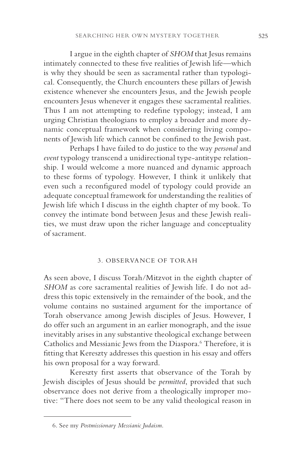I argue in the eighth chapter of *SHOM* that Jesus remains intimately connected to these five realities of Jewish life—which is why they should be seen as sacramental rather than typological. Consequently, the Church encounters these pillars of Jewish existence whenever she encounters Jesus, and the Jewish people encounters Jesus whenever it engages these sacramental realities. Thus I am not attempting to redefine typology; instead, I am urging Christian theologians to employ a broader and more dynamic conceptual framework when considering living components of Jewish life which cannot be confined to the Jewish past.

Perhaps I have failed to do justice to the way *personal* and *event* typology transcend a unidirectional type-antitype relationship. I would welcome a more nuanced and dynamic approach to these forms of typology. However, I think it unlikely that even such a reconfigured model of typology could provide an adequate conceptual framework for understanding the realities of Jewish life which I discuss in the eighth chapter of my book. To convey the intimate bond between Jesus and these Jewish realities, we must draw upon the richer language and conceptuality of sacrament.

#### 3. OBSERVANCE OF TORAH

As seen above, I discuss Torah/Mitzvot in the eighth chapter of *SHOM* as core sacramental realities of Jewish life. I do not address this topic extensively in the remainder of the book, and the volume contains no sustained argument for the importance of Torah observance among Jewish disciples of Jesus. However, I do offer such an argument in an earlier monograph, and the issue inevitably arises in any substantive theological exchange between Catholics and Messianic Jews from the Diaspora.<sup>6</sup> Therefore, it is fitting that Kereszty addresses this question in his essay and offers his own proposal for a way forward.

Kereszty first asserts that observance of the Torah by Jewish disciples of Jesus should be *permitted*, provided that such observance does not derive from a theologically improper motive: "There does not seem to be any valid theological reason in

<sup>6.</sup> See my *Postmissionary Messianic Judaism*.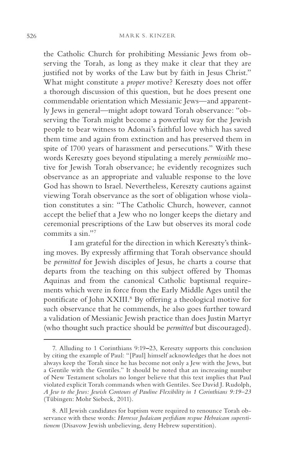the Catholic Church for prohibiting Messianic Jews from observing the Torah, as long as they make it clear that they are justified not by works of the Law but by faith in Jesus Christ." What might constitute a *proper* motive? Kereszty does not offer a thorough discussion of this question, but he does present one commendable orientation which Messianic Jews—and apparently Jews in general—might adopt toward Torah observance: "observing the Torah might become a powerful way for the Jewish people to bear witness to Adonai's faithful love which has saved them time and again from extinction and has preserved them in spite of 1700 years of harassment and persecutions." With these words Kereszty goes beyond stipulating a merely *permissible* motive for Jewish Torah observance; he evidently recognizes such observance as an appropriate and valuable response to the love God has shown to Israel. Nevertheless, Kereszty cautions against viewing Torah observance as the sort of obligation whose violation constitutes a sin: "The Catholic Church, however, cannot accept the belief that a Jew who no longer keeps the dietary and ceremonial prescriptions of the Law but observes its moral code commits a sin."7

I am grateful for the direction in which Kereszty's thinking moves. By expressly affirming that Torah observance should be *permitted* for Jewish disciples of Jesus, he charts a course that departs from the teaching on this subject offered by Thomas Aquinas and from the canonical Catholic baptismal requirements which were in force from the Early Middle Ages until the pontificate of John XXIII.<sup>8</sup> By offering a theological motive for such observance that he commends, he also goes further toward a validation of Messianic Jewish practice than does Justin Martyr (who thought such practice should be *permitted* but discouraged).

<sup>7.</sup> Alluding to 1 Corinthians 9:19**–**23, Kereszty supports this conclusion by citing the example of Paul: "[Paul] himself acknowledges that he does not always keep the Torah since he has become not only a Jew with the Jews, but a Gentile with the Gentiles." It should be noted that an increasing number of New Testament scholars no longer believe that this text implies that Paul violated explicit Torah commands when with Gentiles. See David J. Rudolph, *A Jew to the Jews: Jewish Contours of Pauline Flexibility in 1 Corinthians 9:19–23*  (Tübingen: Mohr Siebeck, 2011).

<sup>8.</sup> All Jewish candidates for baptism were required to renounce Torah observance with these words: *Horresce Judaicam perfidiam respue Hebraicam superstitionem* (Disavow Jewish unbelieving, deny Hebrew superstition).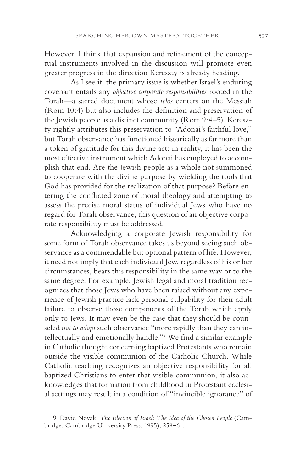However, I think that expansion and refinement of the conceptual instruments involved in the discussion will promote even greater progress in the direction Kereszty is already heading.

As I see it, the primary issue is whether Israel's enduring covenant entails any *objective corporate responsibilities* rooted in the Torah—a sacred document whose *telos* centers on the Messiah (Rom 10:4) but also includes the definition and preservation of the Jewish people as a distinct community (Rom 9:4–5). Kereszty rightly attributes this preservation to "Adonai's faithful love," but Torah observance has functioned historically as far more than a token of gratitude for this divine act: in reality, it has been the most effective instrument which Adonai has employed to accomplish that end. Are the Jewish people as a whole not summoned to cooperate with the divine purpose by wielding the tools that God has provided for the realization of that purpose? Before entering the conflicted zone of moral theology and attempting to assess the precise moral status of individual Jews who have no regard for Torah observance, this question of an objective corporate responsibility must be addressed.

Acknowledging a corporate Jewish responsibility for some form of Torah observance takes us beyond seeing such observance as a commendable but optional pattern of life. However, it need not imply that each individual Jew, regardless of his or her circumstances, bears this responsibility in the same way or to the same degree. For example, Jewish legal and moral tradition recognizes that those Jews who have been raised without any experience of Jewish practice lack personal culpability for their adult failure to observe those components of the Torah which apply only to Jews. It may even be the case that they should be counseled *not to adopt* such observance "more rapidly than they can intellectually and emotionally handle."9 We find a similar example in Catholic thought concerning baptized Protestants who remain outside the visible communion of the Catholic Church. While Catholic teaching recognizes an objective responsibility for all baptized Christians to enter that visible communion, it also acknowledges that formation from childhood in Protestant ecclesial settings may result in a condition of "invincible ignorance" of

<sup>9.</sup> David Novak, *The Election of Israel: The Idea of the Chosen People* (Cambridge: Cambridge University Press, 1995), 259**–**61.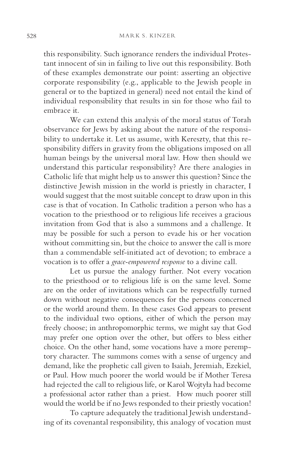this responsibility. Such ignorance renders the individual Protestant innocent of sin in failing to live out this responsibility. Both of these examples demonstrate our point: asserting an objective corporate responsibility (e.g., applicable to the Jewish people in general or to the baptized in general) need not entail the kind of individual responsibility that results in sin for those who fail to embrace it.

We can extend this analysis of the moral status of Torah observance for Jews by asking about the nature of the responsibility to undertake it. Let us assume, with Kereszty, that this responsibility differs in gravity from the obligations imposed on all human beings by the universal moral law. How then should we understand this particular responsibility? Are there analogies in Catholic life that might help us to answer this question? Since the distinctive Jewish mission in the world is priestly in character, I would suggest that the most suitable concept to draw upon in this case is that of vocation. In Catholic tradition a person who has a vocation to the priesthood or to religious life receives a gracious invitation from God that is also a summons and a challenge. It may be possible for such a person to evade his or her vocation without committing sin, but the choice to answer the call is more than a commendable self-initiated act of devotion; to embrace a vocation is to offer a *grace-empowered response* to a divine call.

Let us pursue the analogy further. Not every vocation to the priesthood or to religious life is on the same level. Some are on the order of invitations which can be respectfully turned down without negative consequences for the persons concerned or the world around them. In these cases God appears to present to the individual two options, either of which the person may freely choose; in anthropomorphic terms, we might say that God may prefer one option over the other, but offers to bless either choice. On the other hand, some vocations have a more peremptory character. The summons comes with a sense of urgency and demand, like the prophetic call given to Isaiah, Jeremiah, Ezekiel, or Paul. How much poorer the world would be if Mother Teresa had rejected the call to religious life, or Karol Wojtyła had become a professional actor rather than a priest. How much poorer still would the world be if no Jews responded to their priestly vocation!

To capture adequately the traditional Jewish understanding of its covenantal responsibility, this analogy of vocation must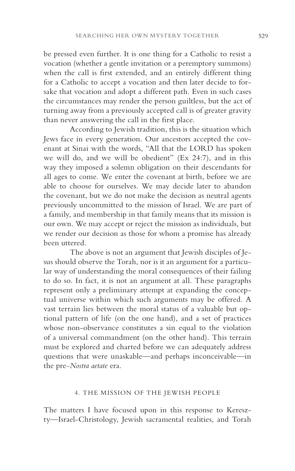be pressed even further. It is one thing for a Catholic to resist a vocation (whether a gentle invitation or a peremptory summons) when the call is first extended, and an entirely different thing for a Catholic to accept a vocation and then later decide to forsake that vocation and adopt a different path. Even in such cases the circumstances may render the person guiltless, but the act of turning away from a previously accepted call is of greater gravity than never answering the call in the first place.

According to Jewish tradition, this is the situation which Jews face in every generation. Our ancestors accepted the covenant at Sinai with the words, "All that the LORD has spoken we will do, and we will be obedient" (Ex 24:7), and in this way they imposed a solemn obligation on their descendants for all ages to come. We enter the covenant at birth, before we are able to choose for ourselves. We may decide later to abandon the covenant, but we do not make the decision as neutral agents previously uncommitted to the mission of Israel. We are part of a family, and membership in that family means that its mission is our own. We may accept or reject the mission as individuals, but we render our decision as those for whom a promise has already been uttered.

The above is not an argument that Jewish disciples of Jesus should observe the Torah, nor is it an argument for a particular way of understanding the moral consequences of their failing to do so. In fact, it is not an argument at all. These paragraphs represent only a preliminary attempt at expanding the conceptual universe within which such arguments may be offered. A vast terrain lies between the moral status of a valuable but optional pattern of life (on the one hand), and a set of practices whose non-observance constitutes a sin equal to the violation of a universal commandment (on the other hand). This terrain must be explored and charted before we can adequately address questions that were unaskable—and perhaps inconceivable—in the pre–*Nostra aetate* era.

## 4. THE MISSION OF THE JEWISH PEOPLE

The matters I have focused upon in this response to Kereszty—Israel-Christology, Jewish sacramental realities, and Torah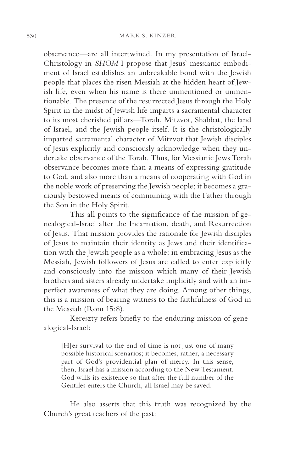observance—are all intertwined. In my presentation of Israel-Christology in *SHOM* I propose that Jesus' messianic embodiment of Israel establishes an unbreakable bond with the Jewish people that places the risen Messiah at the hidden heart of Jewish life, even when his name is there unmentioned or unmentionable. The presence of the resurrected Jesus through the Holy Spirit in the midst of Jewish life imparts a sacramental character to its most cherished pillars—Torah, Mitzvot, Shabbat, the land of Israel, and the Jewish people itself. It is the christologically imparted sacramental character of Mitzvot that Jewish disciples of Jesus explicitly and consciously acknowledge when they undertake observance of the Torah. Thus, for Messianic Jews Torah observance becomes more than a means of expressing gratitude to God, and also more than a means of cooperating with God in the noble work of preserving the Jewish people; it becomes a graciously bestowed means of communing with the Father through the Son in the Holy Spirit.

This all points to the significance of the mission of genealogical-Israel after the Incarnation, death, and Resurrection of Jesus. That mission provides the rationale for Jewish disciples of Jesus to maintain their identity as Jews and their identification with the Jewish people as a whole: in embracing Jesus as the Messiah, Jewish followers of Jesus are called to enter explicitly and consciously into the mission which many of their Jewish brothers and sisters already undertake implicitly and with an imperfect awareness of what they are doing. Among other things, this is a mission of bearing witness to the faithfulness of God in the Messiah (Rom 15:8).

Kereszty refers briefly to the enduring mission of genealogical-Israel:

[H]er survival to the end of time is not just one of many possible historical scenarios; it becomes, rather, a necessary part of God's providential plan of mercy. In this sense, then, Israel has a mission according to the New Testament. God wills its existence so that after the full number of the Gentiles enters the Church, all Israel may be saved.

He also asserts that this truth was recognized by the Church's great teachers of the past: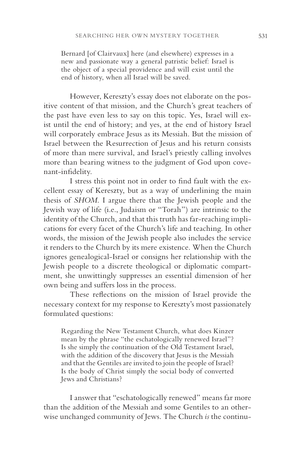Bernard [of Clairvaux] here (and elsewhere) expresses in a new and passionate way a general patristic belief: Israel is the object of a special providence and will exist until the end of history, when all Israel will be saved.

However, Kereszty's essay does not elaborate on the positive content of that mission, and the Church's great teachers of the past have even less to say on this topic. Yes, Israel will exist until the end of history; and yes, at the end of history Israel will corporately embrace Jesus as its Messiah. But the mission of Israel between the Resurrection of Jesus and his return consists of more than mere survival, and Israel's priestly calling involves more than bearing witness to the judgment of God upon covenant-infidelity.

I stress this point not in order to find fault with the excellent essay of Kereszty, but as a way of underlining the main thesis of *SHOM*. I argue there that the Jewish people and the Jewish way of life (i.e., Judaism or "Torah") are intrinsic to the identity of the Church, and that this truth has far-reaching implications for every facet of the Church's life and teaching. In other words, the mission of the Jewish people also includes the service it renders to the Church by its mere existence. When the Church ignores genealogical-Israel or consigns her relationship with the Jewish people to a discrete theological or diplomatic compartment, she unwittingly suppresses an essential dimension of her own being and suffers loss in the process.

These reflections on the mission of Israel provide the necessary context for my response to Kereszty's most passionately formulated questions:

Regarding the New Testament Church, what does Kinzer mean by the phrase "the eschatologically renewed Israel"? Is she simply the continuation of the Old Testament Israel, with the addition of the discovery that Jesus is the Messiah and that the Gentiles are invited to join the people of Israel? Is the body of Christ simply the social body of converted Jews and Christians?

I answer that "eschatologically renewed" means far more than the addition of the Messiah and some Gentiles to an otherwise unchanged community of Jews. The Church *is* the continu-